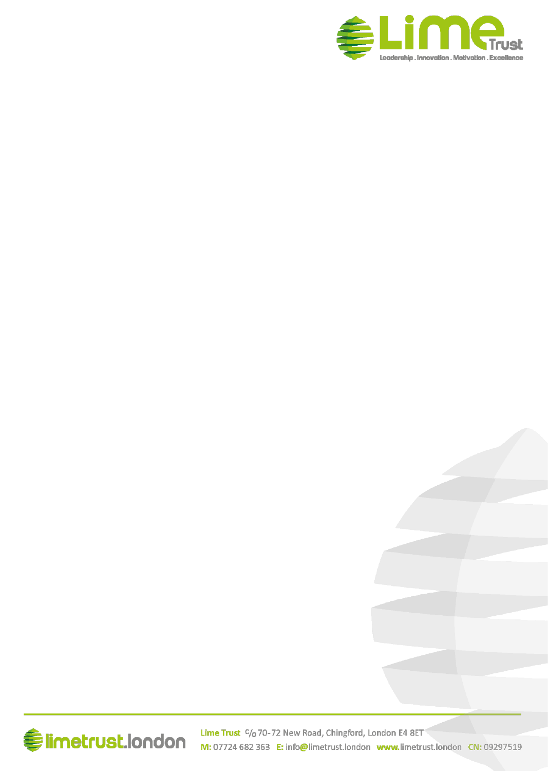

# **Elimetrust.london**

Lime Trust C/o 70-72 New Road, Chingford, London E4 8ET M: 07724 682 363 E: info@limetrust.london www.limetrust.london CN: 09297519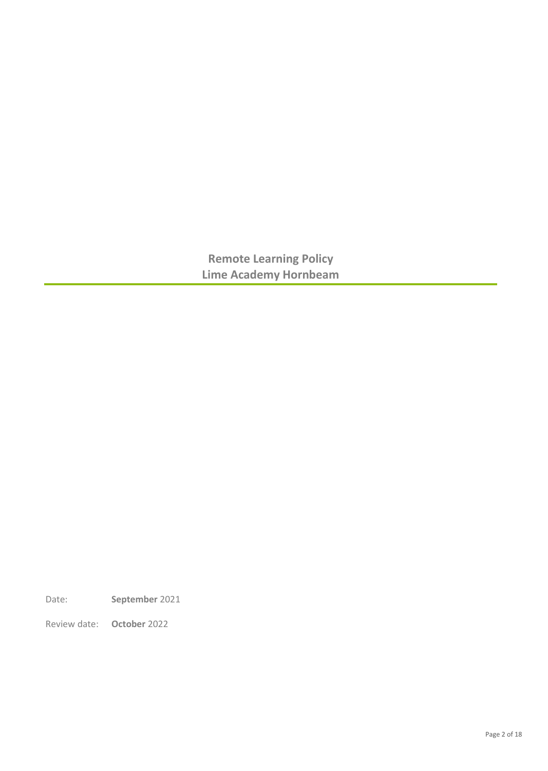**Remote Learning Policy Lime Academy Hornbeam** 

Date: **September** 2021

Review date: **October** 2022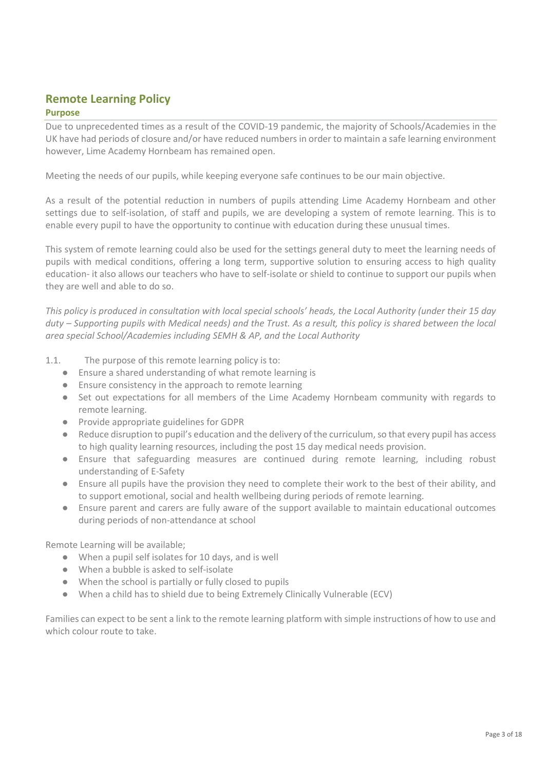# **Remote Learning Policy**

#### **Purpose**

Due to unprecedented times as a result of the COVID-19 pandemic, the majority of Schools/Academies in the UK have had periods of closure and/or have reduced numbers in order to maintain a safe learning environment however, Lime Academy Hornbeam has remained open.

Meeting the needs of our pupils, while keeping everyone safe continues to be our main objective.

As a result of the potential reduction in numbers of pupils attending Lime Academy Hornbeam and other settings due to self-isolation, of staff and pupils, we are developing a system of remote learning. This is to enable every pupil to have the opportunity to continue with education during these unusual times.

This system of remote learning could also be used for the settings general duty to meet the learning needs of pupils with medical conditions, offering a long term, supportive solution to ensuring access to high quality education- it also allows our teachers who have to self-isolate or shield to continue to support our pupils when they are well and able to do so.

*This policy is produced in consultation with local special schools' heads, the Local Authority (under their 15 day duty – Supporting pupils with Medical needs) and the Trust. As a result, this policy is shared between the local area special School/Academies including SEMH & AP, and the Local Authority*

- 1.1. The purpose of this remote learning policy is to:
	- Ensure a shared understanding of what remote learning is
	- Ensure consistency in the approach to remote learning
	- Set out expectations for all members of the Lime Academy Hornbeam community with regards to remote learning.
	- Provide appropriate guidelines for GDPR
	- Reduce disruption to pupil's education and the delivery of the curriculum, so that every pupil has access to high quality learning resources, including the post 15 day medical needs provision.
	- Ensure that safeguarding measures are continued during remote learning, including robust understanding of E-Safety
	- Ensure all pupils have the provision they need to complete their work to the best of their ability, and to support emotional, social and health wellbeing during periods of remote learning.
	- Ensure parent and carers are fully aware of the support available to maintain educational outcomes during periods of non-attendance at school

Remote Learning will be available;

- When a pupil self isolates for 10 days, and is well
- When a bubble is asked to self-isolate
- When the school is partially or fully closed to pupils
- When a child has to shield due to being Extremely Clinically Vulnerable (ECV)

Families can expect to be sent a link to the remote learning platform with simple instructions of how to use and which colour route to take.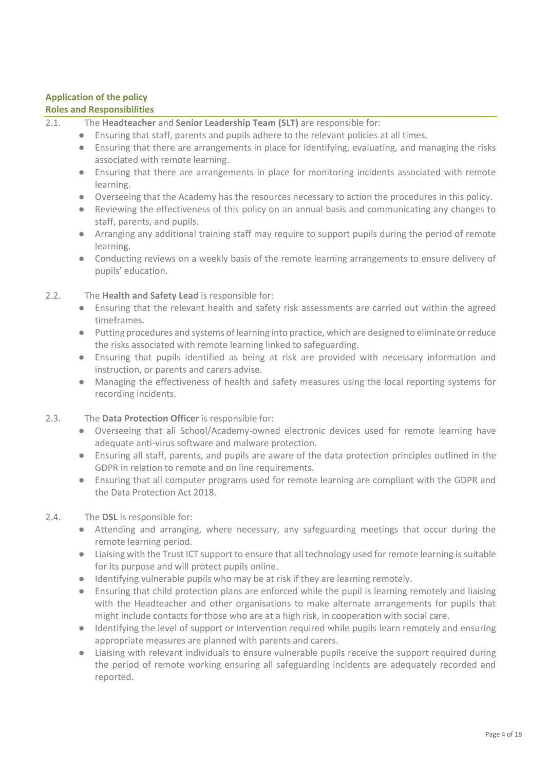#### **Application of the policy**

#### **Roles and Responsibilities**

- 2.1. The **Headteacher** and **Senior Leadership Team (SLT)** are responsible for:
	- Ensuring that staff, parents and pupils adhere to the relevant policies at all times.
	- Ensuring that there are arrangements in place for identifying, evaluating, and managing the risks associated with remote learning.
	- Ensuring that there are arrangements in place for monitoring incidents associated with remote learning.
	- Overseeing that the Academy has the resources necessary to action the procedures in this policy.
	- Reviewing the effectiveness of this policy on an annual basis and communicating any changes to staff, parents, and pupils.
	- Arranging any additional training staff may require to support pupils during the period of remote learning.
	- Conducting reviews on a weekly basis of the remote learning arrangements to ensure delivery of pupils' education.

#### 2.2. The **Health and Safety Lead** is responsible for:

- Ensuring that the relevant health and safety risk assessments are carried out within the agreed timeframes.
- Putting procedures and systems of learning into practice, which are designed to eliminate or reduce the risks associated with remote learning linked to safeguarding.
- Ensuring that pupils identified as being at risk are provided with necessary information and instruction, or parents and carers advise.
- Managing the effectiveness of health and safety measures using the local reporting systems for recording incidents.

#### 2.3. The **Data Protection Officer** is responsible for:

- Overseeing that all School/Academy-owned electronic devices used for remote learning have adequate anti-virus software and malware protection.
- Ensuring all staff, parents, and pupils are aware of the data protection principles outlined in the GDPR in relation to remote and on line requirements.
- Ensuring that all computer programs used for remote learning are compliant with the GDPR and the Data Protection Act 2018.

#### 2.4. The **DSL** is responsible for:

- Attending and arranging, where necessary, any safeguarding meetings that occur during the remote learning period.
- Liaising with the Trust ICT support to ensure that all technology used for remote learning is suitable for its purpose and will protect pupils online.
- Identifying vulnerable pupils who may be at risk if they are learning remotely.
- Ensuring that child protection plans are enforced while the pupil is learning remotely and liaising with the Headteacher and other organisations to make alternate arrangements for pupils that might include contacts for those who are at a high risk, in cooperation with social care.
- Identifying the level of support or intervention required while pupils learn remotely and ensuring appropriate measures are planned with parents and carers.
- Liaising with relevant individuals to ensure vulnerable pupils receive the support required during the period of remote working ensuring all safeguarding incidents are adequately recorded and reported.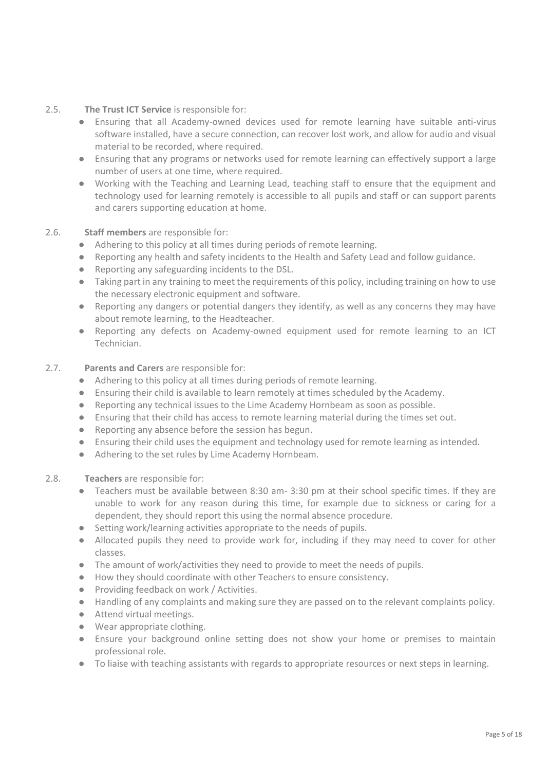- 2.5. **The Trust ICT Service** is responsible for:
	- Ensuring that all Academy-owned devices used for remote learning have suitable anti-virus software installed, have a secure connection, can recover lost work, and allow for audio and visual material to be recorded, where required.
	- Ensuring that any programs or networks used for remote learning can effectively support a large number of users at one time, where required.
	- Working with the Teaching and Learning Lead, teaching staff to ensure that the equipment and technology used for learning remotely is accessible to all pupils and staff or can support parents and carers supporting education at home.

#### 2.6. **Staff members** are responsible for:

- Adhering to this policy at all times during periods of remote learning.
- Reporting any health and safety incidents to the Health and Safety Lead and follow guidance.
- Reporting any safeguarding incidents to the DSL.
- Taking part in any training to meet the requirements of this policy, including training on how to use the necessary electronic equipment and software.
- Reporting any dangers or potential dangers they identify, as well as any concerns they may have about remote learning, to the Headteacher.
- Reporting any defects on Academy-owned equipment used for remote learning to an ICT Technician.

#### 2.7. **Parents and Carers** are responsible for:

- Adhering to this policy at all times during periods of remote learning.
- Ensuring their child is available to learn remotely at times scheduled by the Academy.
- Reporting any technical issues to the Lime Academy Hornbeam as soon as possible.
- Ensuring that their child has access to remote learning material during the times set out.
- Reporting any absence before the session has begun.
- Ensuring their child uses the equipment and technology used for remote learning as intended.
- Adhering to the set rules by Lime Academy Hornbeam.
- 2.8. **Teachers** are responsible for:
	- Teachers must be available between 8:30 am- 3:30 pm at their school specific times. If they are unable to work for any reason during this time, for example due to sickness or caring for a dependent, they should report this using the normal absence procedure.
	- Setting work/learning activities appropriate to the needs of pupils.
	- Allocated pupils they need to provide work for, including if they may need to cover for other classes.
	- The amount of work/activities they need to provide to meet the needs of pupils.
	- How they should coordinate with other Teachers to ensure consistency.
	- Providing feedback on work / Activities.
	- Handling of any complaints and making sure they are passed on to the relevant complaints policy.
	- Attend virtual meetings.
	- Wear appropriate clothing.
	- Ensure your background online setting does not show your home or premises to maintain professional role.
	- To liaise with teaching assistants with regards to appropriate resources or next steps in learning.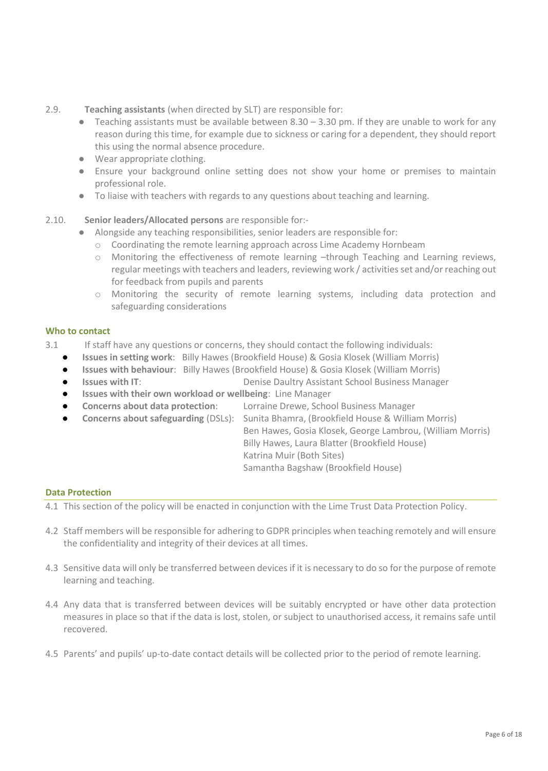- 2.9. **Teaching assistants** (when directed by SLT) are responsible for:
	- $\bullet$  Teaching assistants must be available between 8.30 3.30 pm. If they are unable to work for any reason during this time, for example due to sickness or caring for a dependent, they should report this using the normal absence procedure.
	- Wear appropriate clothing.
	- Ensure your background online setting does not show your home or premises to maintain professional role.
	- To liaise with teachers with regards to any questions about teaching and learning.
- 2.10. **Senior leaders/Allocated persons** are responsible for:-
	- Alongside any teaching responsibilities, senior leaders are responsible for:
		- o Coordinating the remote learning approach across Lime Academy Hornbeam
		- o Monitoring the effectiveness of remote learning –through Teaching and Learning reviews, regular meetings with teachers and leaders, reviewing work / activities set and/or reaching out for feedback from pupils and parents
		- o Monitoring the security of remote learning systems, including data protection and safeguarding considerations

#### **Who to contact**

- 3.1 If staff have any questions or concerns, they should contact the following individuals:
	- **Issues in setting work**: Billy Hawes (Brookfield House) & Gosia Klosek (William Morris)
	- **Issues with behaviour**: Billy Hawes (Brookfield House) & Gosia Klosek (William Morris)
	- **Issues with IT:** The Business Denise Daultry Assistant School Business Manager
	- **Issues with their own workload or wellbeing: Line Manager**
	- **Concerns about data protection:** Lorraine Drewe, School Business Manager
	- **Concerns about safeguarding** (DSLs): Sunita Bhamra, (Brookfield House & William Morris)
		- Ben Hawes, Gosia Klosek, George Lambrou, (William Morris) Billy Hawes, Laura Blatter (Brookfield House) Katrina Muir (Both Sites)

#### Samantha Bagshaw (Brookfield House)

#### **Data Protection**

- 4.1 This section of the policy will be enacted in conjunction with the Lime Trust Data Protection Policy.
- 4.2 Staff members will be responsible for adhering to GDPR principles when teaching remotely and will ensure the confidentiality and integrity of their devices at all times.
- 4.3 Sensitive data will only be transferred between devices if it is necessary to do so for the purpose of remote learning and teaching.
- 4.4 Any data that is transferred between devices will be suitably encrypted or have other data protection measures in place so that if the data is lost, stolen, or subject to unauthorised access, it remains safe until recovered.
- 4.5 Parents' and pupils' up-to-date contact details will be collected prior to the period of remote learning.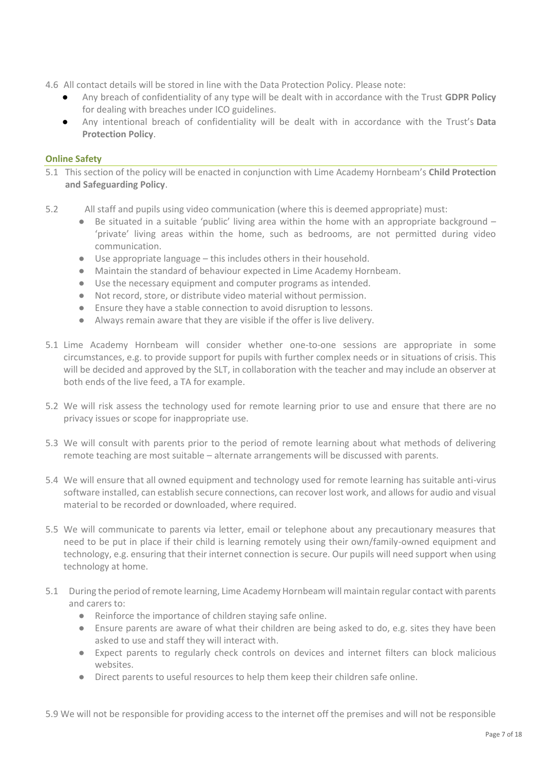- 4.6 All contact details will be stored in line with the Data Protection Policy. Please note:
	- Any breach of confidentiality of any type will be dealt with in accordance with the Trust **GDPR Policy**  for dealing with breaches under ICO guidelines.
	- Any intentional breach of confidentiality will be dealt with in accordance with the Trust's **Data Protection Policy**.

#### **Online Safety**

- 5.1 This section of the policy will be enacted in conjunction with Lime Academy Hornbeam's **Child Protection and Safeguarding Policy**.
- 5.2 All staff and pupils using video communication (where this is deemed appropriate) must:
	- Be situated in a suitable 'public' living area within the home with an appropriate background 'private' living areas within the home, such as bedrooms, are not permitted during video communication.
	- Use appropriate language this includes others in their household.
	- Maintain the standard of behaviour expected in Lime Academy Hornbeam.
	- Use the necessary equipment and computer programs as intended.
	- Not record, store, or distribute video material without permission.
	- Ensure they have a stable connection to avoid disruption to lessons.
	- Always remain aware that they are visible if the offer is live delivery.
- 5.1 Lime Academy Hornbeam will consider whether one-to-one sessions are appropriate in some circumstances, e.g. to provide support for pupils with further complex needs or in situations of crisis. This will be decided and approved by the SLT, in collaboration with the teacher and may include an observer at both ends of the live feed, a TA for example.
- 5.2 We will risk assess the technology used for remote learning prior to use and ensure that there are no privacy issues or scope for inappropriate use.
- 5.3 We will consult with parents prior to the period of remote learning about what methods of delivering remote teaching are most suitable – alternate arrangements will be discussed with parents.
- 5.4 We will ensure that all owned equipment and technology used for remote learning has suitable anti-virus software installed, can establish secure connections, can recover lost work, and allows for audio and visual material to be recorded or downloaded, where required.
- 5.5 We will communicate to parents via letter, email or telephone about any precautionary measures that need to be put in place if their child is learning remotely using their own/family-owned equipment and technology, e.g. ensuring that their internet connection is secure. Our pupils will need support when using technology at home.
- 5.1 During the period of remote learning, Lime Academy Hornbeam will maintain regular contact with parents and carers to:
	- Reinforce the importance of children staying safe online.
	- Ensure parents are aware of what their children are being asked to do, e.g. sites they have been asked to use and staff they will interact with.
	- Expect parents to regularly check controls on devices and internet filters can block malicious websites.
	- Direct parents to useful resources to help them keep their children safe online.

5.9 We will not be responsible for providing access to the internet off the premises and will not be responsible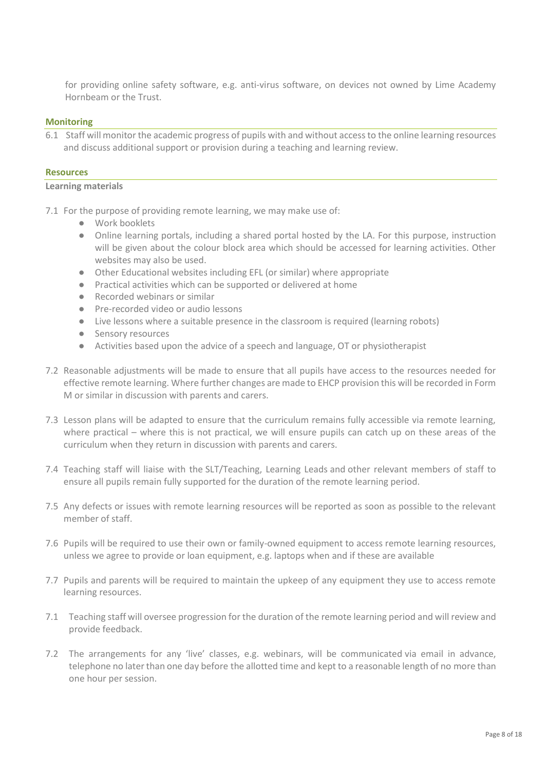for providing online safety software, e.g. anti-virus software, on devices not owned by Lime Academy Hornbeam or the Trust.

#### **Monitoring**

6.1 Staff will monitor the academic progress of pupils with and without access to the online learning resources and discuss additional support or provision during a teaching and learning review.

#### **Resources**

#### **Learning materials**

- 7.1 For the purpose of providing remote learning, we may make use of:
	- Work booklets
	- Online learning portals, including a shared portal hosted by the LA. For this purpose, instruction will be given about the colour block area which should be accessed for learning activities. Other websites may also be used.
	- Other Educational websites including EFL (or similar) where appropriate
	- Practical activities which can be supported or delivered at home
	- Recorded webinars or similar
	- Pre-recorded video or audio lessons
	- Live lessons where a suitable presence in the classroom is required (learning robots)
	- Sensory resources
	- Activities based upon the advice of a speech and language, OT or physiotherapist
- 7.2 Reasonable adjustments will be made to ensure that all pupils have access to the resources needed for effective remote learning. Where further changes are made to EHCP provision this will be recorded in Form M or similar in discussion with parents and carers.
- 7.3 Lesson plans will be adapted to ensure that the curriculum remains fully accessible via remote learning, where practical – where this is not practical, we will ensure pupils can catch up on these areas of the curriculum when they return in discussion with parents and carers.
- 7.4 Teaching staff will liaise with the SLT/Teaching, Learning Leads and other relevant members of staff to ensure all pupils remain fully supported for the duration of the remote learning period.
- 7.5 Any defects or issues with remote learning resources will be reported as soon as possible to the relevant member of staff.
- 7.6 Pupils will be required to use their own or family-owned equipment to access remote learning resources, unless we agree to provide or loan equipment, e.g. laptops when and if these are available
- 7.7 Pupils and parents will be required to maintain the upkeep of any equipment they use to access remote learning resources.
- 7.1 Teaching staff will oversee progression for the duration of the remote learning period and will review and provide feedback.
- 7.2 The arrangements for any 'live' classes, e.g. webinars, will be communicated via email in advance, telephone no later than one day before the allotted time and kept to a reasonable length of no more than one hour per session.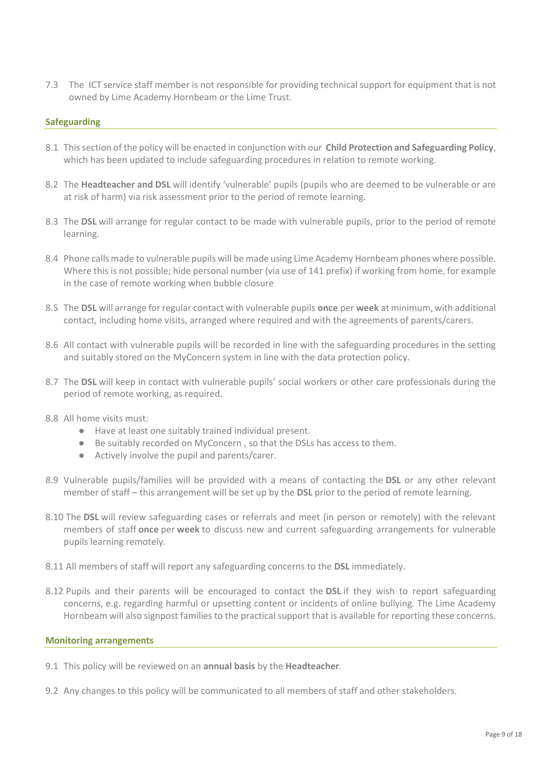7.3 The ICT service staff member is not responsible for providing technical support for equipment that is not owned by Lime Academy Hornbeam or the Lime Trust.

#### **Safeguarding**

- 8.1 This section of the policy will be enacted in conjunction with our **Child Protection and Safeguarding Policy**, which has been updated to include safeguarding procedures in relation to remote working.
- 8.2 The **Headteacher and DSL** will identify 'vulnerable' pupils (pupils who are deemed to be vulnerable or are at risk of harm) via risk assessment prior to the period of remote learning.
- 8.3 The **DSL** will arrange for regular contact to be made with vulnerable pupils, prior to the period of remote learning.
- 8.4 Phone calls made to vulnerable pupils will be made using Lime Academy Hornbeam phones where possible. Where this is not possible; hide personal number (via use of 141 prefix) if working from home, for example in the case of remote working when bubble closure
- 8.5 The **DSL** will arrange for regular contact with vulnerable pupils **once** per **week** at minimum, with additional contact, including home visits, arranged where required and with the agreements of parents/carers.
- 8.6 All contact with vulnerable pupils will be recorded in line with the safeguarding procedures in the setting and suitably stored on the MyConcern system in line with the data protection policy.
- 8.7 The **DSL** will keep in contact with vulnerable pupils' social workers or other care professionals during the period of remote working, as required.
- 8.8 All home visits must:
	- Have at least one suitably trained individual present.
	- Be suitably recorded on MyConcern , so that the DSLs has access to them.
	- Actively involve the pupil and parents/carer.
- 8.9 Vulnerable pupils/families will be provided with a means of contacting the **DSL** or any other relevant member of staff – this arrangement will be set up by the **DSL** prior to the period of remote learning.
- 8.10 The **DSL** will review safeguarding cases or referrals and meet (in person or remotely) with the relevant members of staff **once** per **week** to discuss new and current safeguarding arrangements for vulnerable pupils learning remotely.
- 8.11 All members of staff will report any safeguarding concerns to the **DSL** immediately.
- 8.12 Pupils and their parents will be encouraged to contact the **DSL** if they wish to report safeguarding concerns, e.g. regarding harmful or upsetting content or incidents of online bullying. The Lime Academy Hornbeam will also signpost families to the practical support that is available for reporting these concerns.

#### **Monitoring arrangements**

- 9.1 This policy will be reviewed on an **annual basis** by the **Headteacher**.
- 9.2 Any changes to this policy will be communicated to all members of staff and other stakeholders.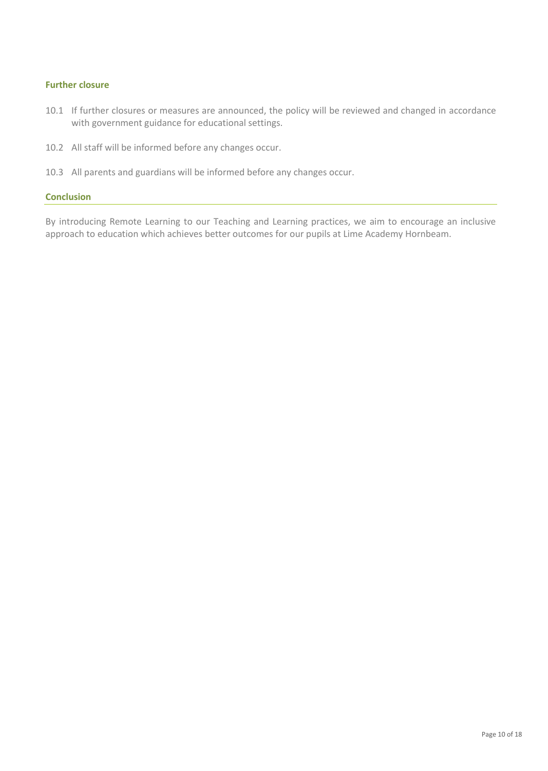#### **Further closure**

- 10.1 If further closures or measures are announced, the policy will be reviewed and changed in accordance with government guidance for educational settings.
- 10.2 All staff will be informed before any changes occur.
- 10.3 All parents and guardians will be informed before any changes occur.

#### **Conclusion**

By introducing Remote Learning to our Teaching and Learning practices, we aim to encourage an inclusive approach to education which achieves better outcomes for our pupils at Lime Academy Hornbeam.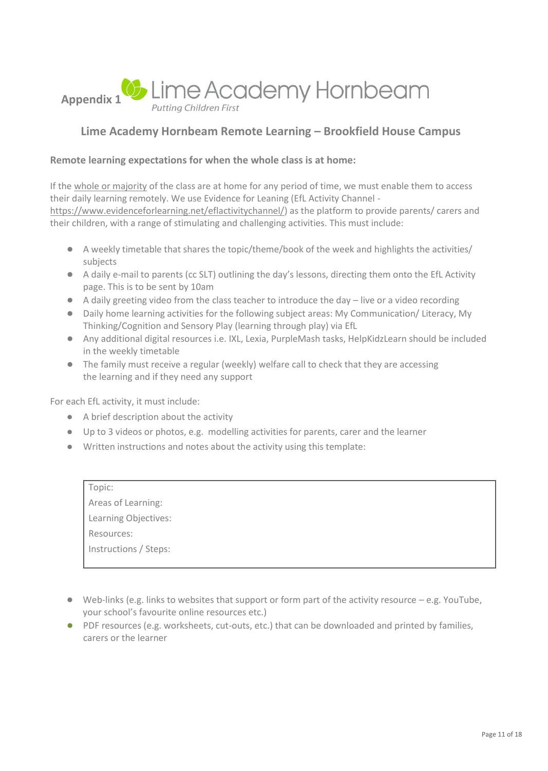

# **Lime Academy Hornbeam Remote Learning – Brookfield House Campus**

#### **Remote learning expectations for when the whole class is at home:**

If the whole or majority of the class are at home for any period of time, we must enable them to access their daily learning remotely. We use Evidence for Leaning (EfL Activity Channel [https://www.evidenceforlearning.net/eflactivitychannel/\)](https://www.evidenceforlearning.net/eflactivitychannel/) as the platform to provide parents/ carers and their children, with a range of stimulating and challenging activities. This must include:

- A weekly timetable that shares the topic/theme/book of the week and highlights the activities/ subjects
- A daily e-mail to parents (cc SLT) outlining the day's lessons, directing them onto the EfL Activity page. This is to be sent by 10am
- A daily greeting video from the class teacher to introduce the day live or a video recording
- Daily home learning activities for the following subject areas: My Communication/ Literacy, My Thinking/Cognition and Sensory Play (learning through play) via EfL
- Any additional digital resources i.e. IXL, Lexia, PurpleMash tasks, HelpKidzLearn should be included in the weekly timetable
- The family must receive a regular (weekly) welfare call to check that they are accessing the learning and if they need any support

For each EfL activity, it must include:

- A brief description about the activity
- Up to 3 videos or photos, e.g. modelling activities for parents, carer and the learner
- Written instructions and notes about the activity using this template:

| Topic:                |
|-----------------------|
| Areas of Learning:    |
| Learning Objectives:  |
| Resources:            |
| Instructions / Steps: |
|                       |

- $\bullet$  Web-links (e.g. links to websites that support or form part of the activity resource e.g. YouTube, your school's favourite online resources etc.)
- PDF resources (e.g. worksheets, cut-outs, etc.) that can be downloaded and printed by families, carers or the learner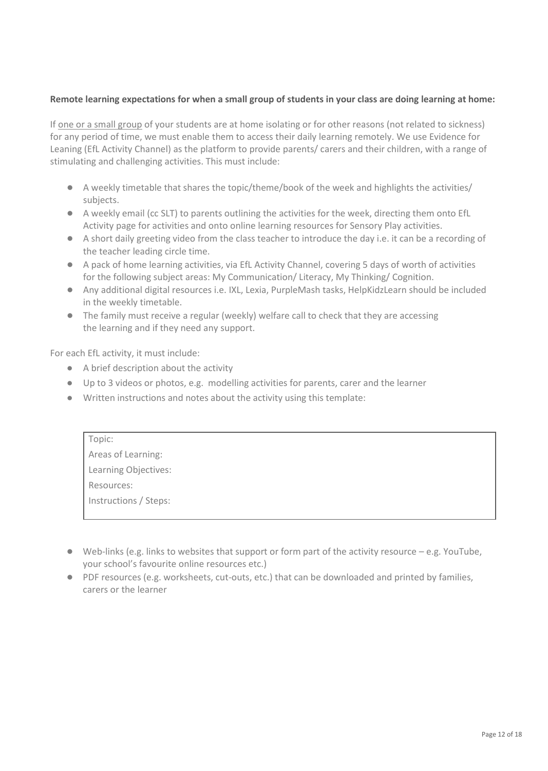#### **Remote learning expectations for when a small group of students in your class are doing learning at home:**

If one or a small group of your students are at home isolating or for other reasons (not related to sickness) for any period of time, we must enable them to access their daily learning remotely. We use Evidence for Leaning (EfL Activity Channel) as the platform to provide parents/ carers and their children, with a range of stimulating and challenging activities. This must include:

- A weekly timetable that shares the topic/theme/book of the week and highlights the activities/ subjects.
- A weekly email (cc SLT) to parents outlining the activities for the week, directing them onto EfL Activity page for activities and onto online learning resources for Sensory Play activities.
- A short daily greeting video from the class teacher to introduce the day i.e. it can be a recording of the teacher leading circle time.
- A pack of home learning activities, via EfL Activity Channel, covering 5 days of worth of activities for the following subject areas: My Communication/ Literacy, My Thinking/ Cognition.
- Any additional digital resources i.e. IXL, Lexia, PurpleMash tasks, HelpKidzLearn should be included in the weekly timetable.
- The family must receive a regular (weekly) welfare call to check that they are accessing the learning and if they need any support.

For each EfL activity, it must include:

- A brief description about the activity
- Up to 3 videos or photos, e.g. modelling activities for parents, carer and the learner
- Written instructions and notes about the activity using this template:

| Topic:                |  |
|-----------------------|--|
| Areas of Learning:    |  |
| Learning Objectives:  |  |
| Resources:            |  |
| Instructions / Steps: |  |
|                       |  |

- $\bullet$  Web-links (e.g. links to websites that support or form part of the activity resource  $-e.g.$  YouTube, your school's favourite online resources etc.)
- PDF resources (e.g. worksheets, cut-outs, etc.) that can be downloaded and printed by families, carers or the learner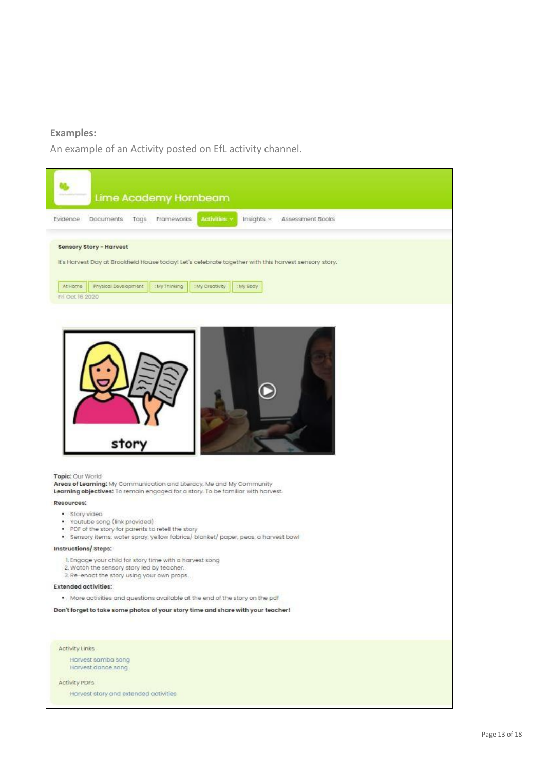# **Examples:**

An example of an Activity posted on EfL activity channel.

| Lime Academy Hornbeam                                                                                                                                                                                                                          |
|------------------------------------------------------------------------------------------------------------------------------------------------------------------------------------------------------------------------------------------------|
| Activities v<br>Insights ~<br>Frameworks<br>Evidence<br>Documents.<br>Tags<br>Assessment Books                                                                                                                                                 |
| <b>Sensory Story - Harvest</b><br>It's Harvest Day at Brookfield House today! Let's celebrate together with this harvest sensory story.<br>At Home<br>Physical Davelopment<br>: My Thinking<br>: My Creativity<br>: My Body<br>Fri Oct 16 2020 |
| story<br>Topic: Our World<br>Areas of Learning: My Communication and Literacy, Me and My Community<br>Learning objectives: To remain engaged for a story. To be familiar with harvest.                                                         |
| Resources:<br>· Story video<br>• Youtube song (link provided)                                                                                                                                                                                  |
| PDF of the story for parents to retell the story<br>۰<br>· Sensory items: water spray, yellow fabrics/ blanket/ paper, peas, a harvest bowl                                                                                                    |
| Instructions/Steps:                                                                                                                                                                                                                            |
| I. Engage your child for story time with a harvest song<br>2. Watch the sensory story led by teacher.<br>3. Re-enact the story using your own props.                                                                                           |
| <b>Extended activities:</b>                                                                                                                                                                                                                    |
|                                                                                                                                                                                                                                                |
| . More activities and questions available at the end of the story on the pat                                                                                                                                                                   |
| Don't forget to take some photos of your story time and share with your teacher!                                                                                                                                                               |
| Activity Links<br>Harvest samba song                                                                                                                                                                                                           |
| Harvest dance song                                                                                                                                                                                                                             |
| Activity PDFs                                                                                                                                                                                                                                  |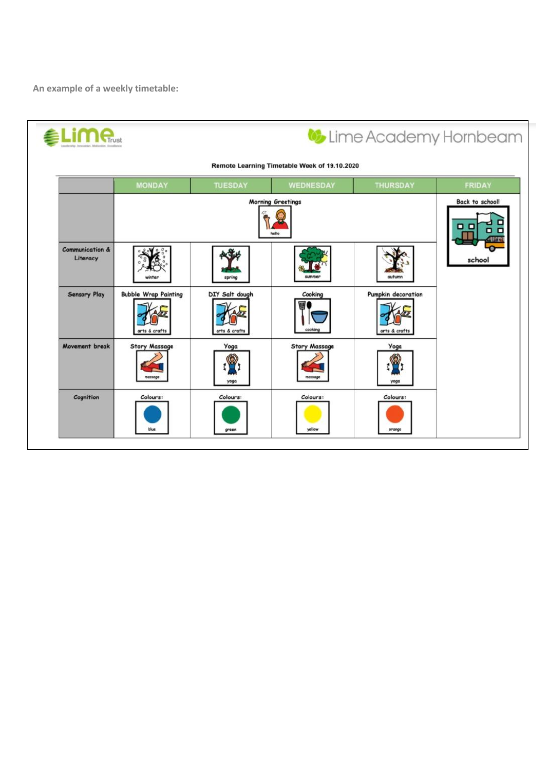**An example of a weekly timetable:**

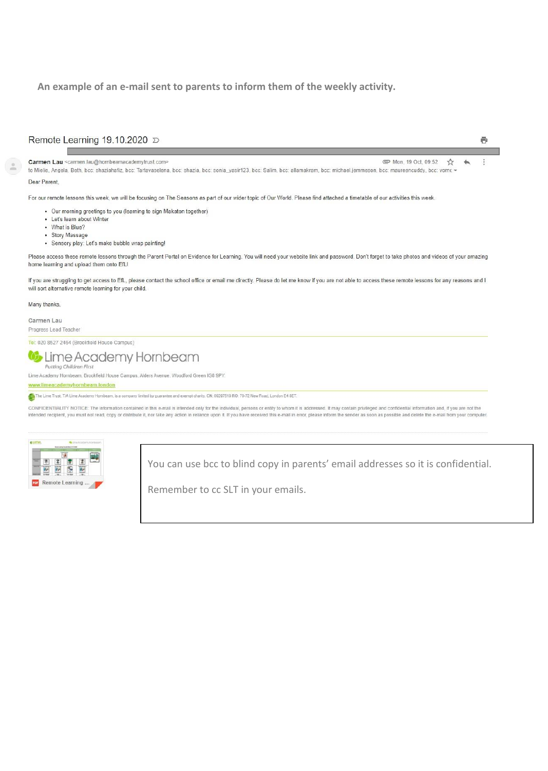#### **An example of an e-mail sent to parents to inform them of the weekly activity.**

#### Remote Learning 19.10.2020 D

☆

#### Carmen Lau <carmen.lau@hornbeamacademytrust.com>

ē

 $\ddot{\cdot}$ 

#### Mon, 19 Oct, 09:52 to Mielie, Angela, Beth, bcc: shaziahafiz, bcc: Tartavaselena, bcc: shazia, bcc: sonia\_yasir123, bcc: Salim, bcc: allamakram, bcc: michael.jemmeson, bcc: maureencuddy, bcc: vorn < Dear Parent

For our remote lessons this week, we will be focusing on The Seasons as part of our wider topic of Our World. Please find attached a timetable of our activities this week.

- . Our morning greetings to you (learning to sign Makaton together)
- Let's learn about Winter
- What is Blue?
- · Story Massage
- · Sensory play: Let's make bubble wrap painting!

Please access these remote lessons through the Parent Portal on Evidence for Learning. You will need your website link and password. Don't forget to take photos and videos of your amazing home learning and upload them onto EfL!

If you are struggling to get access to EfL, please contact the school office or email me directly. Please do let me know if you are not able to access these remote lessons for any reasons and I will sort alternative remote learning for your child.

Many thanks.

Carmen Lau Progress Lead Teacher

Tel: 020 8527 2464 (Brookfield House Campus)

#### Lime Academy Hornbeam Putting Children First

Lime Academy Hornbeam, Brookfield House Campus, Alders Avenue, Woodford Green IG8 9PY.

w.limeacademyhombeam.london

The Lime Trust, T/A Lime Academy Hombeam, is a company limited by guarantee and exempt charity. CN: 09297519 RO: 70-72 New Road, London E4 8ET.

CONFIDENTIALITY NOTICE: The information contained in this e-mail is intended only for the individual, persons or entity to whom it is addressed. It may contain privileged and confidential information and, if you are not th intended recipient, you must not read, copy or distribute it, nor take any action in reliance upon it. If you have received this e-mail in error, please inform the sender as soon as possible and delete the e-mail from your



You can use bcc to blind copy in parents' email addresses so it is confidential.

Remember to cc SLT in your emails.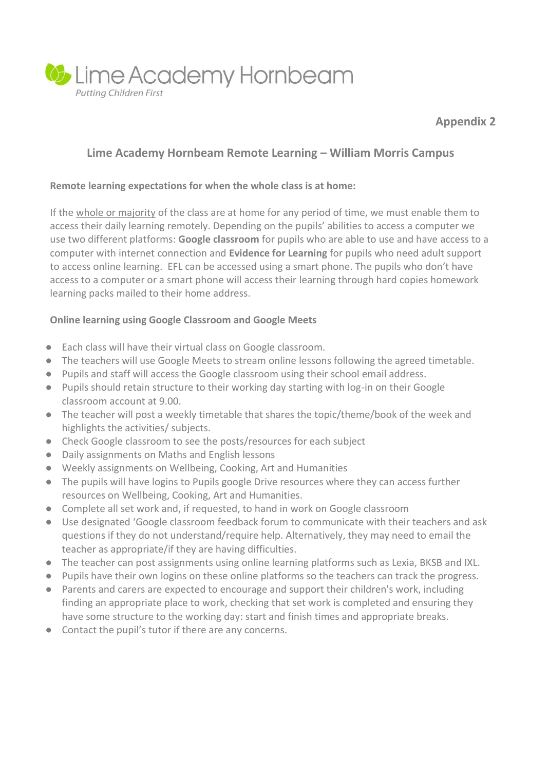

**Appendix 2**

# **Lime Academy Hornbeam Remote Learning – William Morris Campus**

# **Remote learning expectations for when the whole class is at home:**

If the whole or majority of the class are at home for any period of time, we must enable them to access their daily learning remotely. Depending on the pupils' abilities to access a computer we use two different platforms: **Google classroom** for pupils who are able to use and have access to a computer with internet connection and **Evidence for Learning** for pupils who need adult support to access online learning. EFL can be accessed using a smart phone. The pupils who don't have access to a computer or a smart phone will access their learning through hard copies homework learning packs mailed to their home address.

# **Online learning using Google Classroom and Google Meets**

- Each class will have their virtual class on Google classroom.
- The teachers will use Google Meets to stream online lessons following the agreed timetable.
- Pupils and staff will access the Google classroom using their school email address.
- Pupils should retain structure to their working day starting with log-in on their Google classroom account at 9.00.
- The teacher will post a weekly timetable that shares the topic/theme/book of the week and highlights the activities/ subjects.
- Check Google classroom to see the posts/resources for each subject
- Daily assignments on Maths and English lessons
- Weekly assignments on Wellbeing, Cooking, Art and Humanities
- The pupils will have logins to Pupils google Drive resources where they can access further resources on Wellbeing, Cooking, Art and Humanities.
- Complete all set work and, if requested, to hand in work on Google classroom
- Use designated 'Google classroom feedback forum to communicate with their teachers and ask questions if they do not understand/require help. Alternatively, they may need to email the teacher as appropriate/if they are having difficulties.
- The teacher can post assignments using online learning platforms such as Lexia, BKSB and IXL.
- Pupils have their own logins on these online platforms so the teachers can track the progress.
- Parents and carers are expected to encourage and support their children's work, including finding an appropriate place to work, checking that set work is completed and ensuring they have some structure to the working day: start and finish times and appropriate breaks.
- Contact the pupil's tutor if there are any concerns.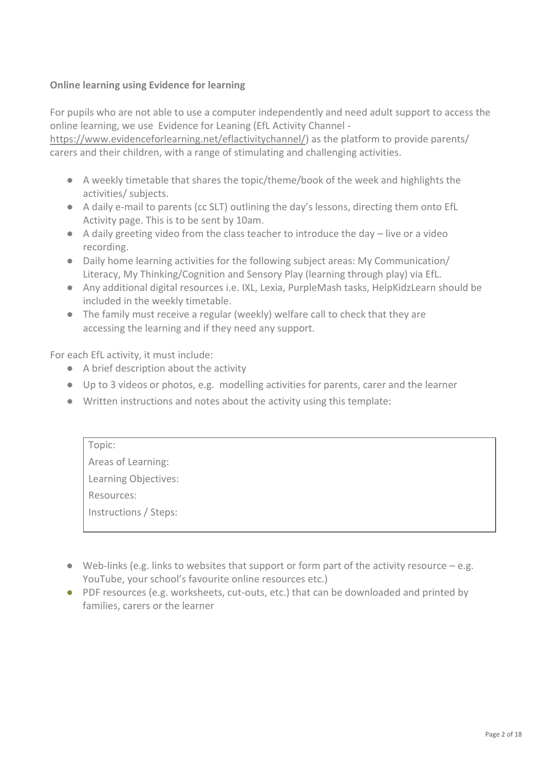### **Online learning using Evidence for learning**

For pupils who are not able to use a computer independently and need adult support to access the online learning, we use Evidence for Leaning (EfL Activity Channel -

[https://www.evidenceforlearning.net/eflactivitychannel/\)](https://www.evidenceforlearning.net/eflactivitychannel/) as the platform to provide parents/ carers and their children, with a range of stimulating and challenging activities.

- A weekly timetable that shares the topic/theme/book of the week and highlights the activities/ subjects.
- A daily e-mail to parents (cc SLT) outlining the day's lessons, directing them onto EfL Activity page. This is to be sent by 10am.
- $\bullet$  A daily greeting video from the class teacher to introduce the day  $-$  live or a video recording.
- Daily home learning activities for the following subject areas: My Communication/ Literacy, My Thinking/Cognition and Sensory Play (learning through play) via EfL.
- Any additional digital resources i.e. IXL, Lexia, PurpleMash tasks, HelpKidzLearn should be included in the weekly timetable.
- The family must receive a regular (weekly) welfare call to check that they are accessing the learning and if they need any support.

For each EfL activity, it must include:

- A brief description about the activity
- Up to 3 videos or photos, e.g. modelling activities for parents, carer and the learner
- Written instructions and notes about the activity using this template:

| Topic:                |
|-----------------------|
| Areas of Learning:    |
| Learning Objectives:  |
| Resources:            |
| Instructions / Steps: |
|                       |

- $\bullet$  Web-links (e.g. links to websites that support or form part of the activity resource e.g. YouTube, your school's favourite online resources etc.)
- PDF resources (e.g. worksheets, cut-outs, etc.) that can be downloaded and printed by families, carers or the learner